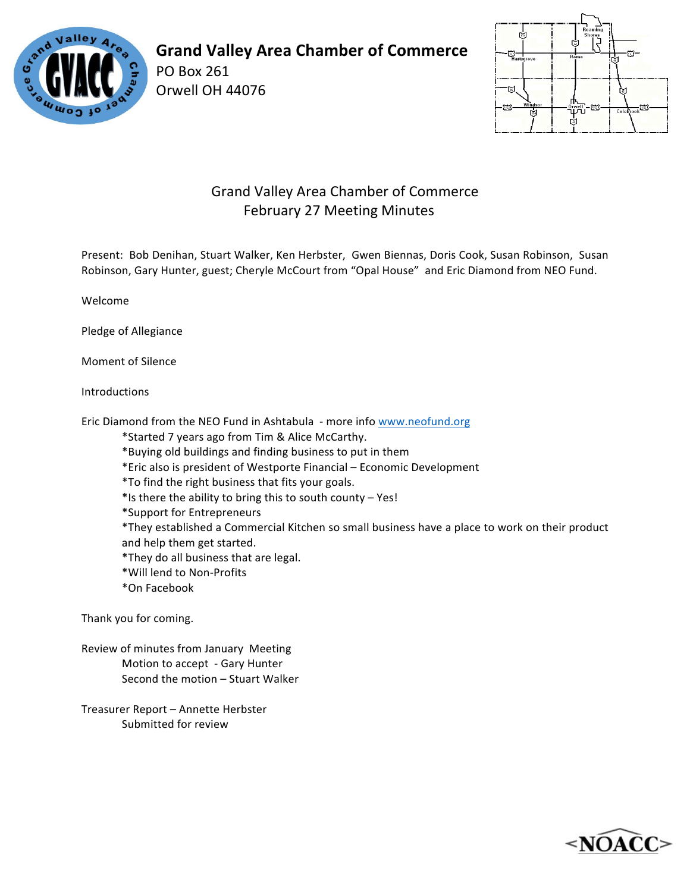

## **Grand Valley Area Chamber of Commerce**

PO Box 261 Orwell OH 44076



## Grand Valley Area Chamber of Commerce February 27 Meeting Minutes

Present: Bob Denihan, Stuart Walker, Ken Herbster, Gwen Biennas, Doris Cook, Susan Robinson, Susan Robinson, Gary Hunter, guest; Cheryle McCourt from "Opal House" and Eric Diamond from NEO Fund.

Welcome

Pledge of Allegiance

Moment of Silence

Introductions 

Eric Diamond from the NEO Fund in Ashtabula - more info www.neofund.org

\*Started 7 years ago from Tim & Alice McCarthy. 

\*Buying old buildings and finding business to put in them

\*Eric also is president of Westporte Financial – Economic Development

\*To find the right business that fits your goals.

 $*$ Is there the ability to bring this to south county – Yes!

\*Support for Entrepreneurs

\*They established a Commercial Kitchen so small business have a place to work on their product and help them get started.

\*They do all business that are legal.

\*Will lend to Non-Profits 

\*On Facebook

Thank you for coming.

Review of minutes from January Meeting Motion to accept - Gary Hunter Second the motion – Stuart Walker

Treasurer Report - Annette Herbster Submitted for review

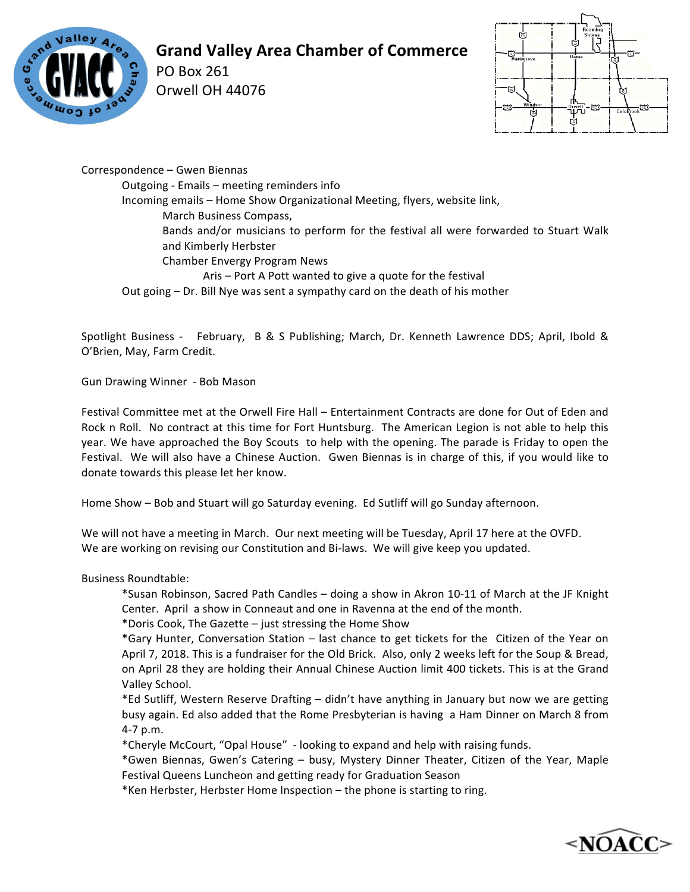

## **Grand Valley Area Chamber of Commerce**

PO Box 261 Orwell OH 44076



Correspondence - Gwen Biennas Outgoing - Emails - meeting reminders info Incoming emails - Home Show Organizational Meeting, flyers, website link, March Business Compass, Bands and/or musicians to perform for the festival all were forwarded to Stuart Walk and Kimberly Herbster Chamber Envergy Program News Aris – Port A Pott wanted to give a quote for the festival Out going – Dr. Bill Nye was sent a sympathy card on the death of his mother

Spotlight Business - February, B & S Publishing; March, Dr. Kenneth Lawrence DDS; April, Ibold & O'Brien, May, Farm Credit.

Gun Drawing Winner - Bob Mason

Festival Committee met at the Orwell Fire Hall – Entertainment Contracts are done for Out of Eden and Rock n Roll. No contract at this time for Fort Huntsburg. The American Legion is not able to help this year. We have approached the Boy Scouts to help with the opening. The parade is Friday to open the Festival. We will also have a Chinese Auction. Gwen Biennas is in charge of this, if you would like to donate towards this please let her know.

Home Show – Bob and Stuart will go Saturday evening. Ed Sutliff will go Sunday afternoon.

We will not have a meeting in March. Our next meeting will be Tuesday, April 17 here at the OVFD. We are working on revising our Constitution and Bi-laws. We will give keep you updated.

Business Roundtable:

\*Susan Robinson, Sacred Path Candles – doing a show in Akron 10-11 of March at the JF Knight Center. April a show in Conneaut and one in Ravenna at the end of the month.

\*Doris Cook, The Gazette  $-$  just stressing the Home Show

\*Gary Hunter, Conversation Station – last chance to get tickets for the Citizen of the Year on April 7, 2018. This is a fundraiser for the Old Brick. Also, only 2 weeks left for the Soup & Bread, on April 28 they are holding their Annual Chinese Auction limit 400 tickets. This is at the Grand Valley School.

\*Ed Sutliff, Western Reserve Drafting - didn't have anything in January but now we are getting busy again. Ed also added that the Rome Presbyterian is having a Ham Dinner on March 8 from 4-7 p.m. 

\*Cheryle McCourt, "Opal House" - looking to expand and help with raising funds. 

\*Gwen Biennas, Gwen's Catering – busy, Mystery Dinner Theater, Citizen of the Year, Maple Festival Queens Luncheon and getting ready for Graduation Season

\*Ken Herbster, Herbster Home Inspection – the phone is starting to ring.